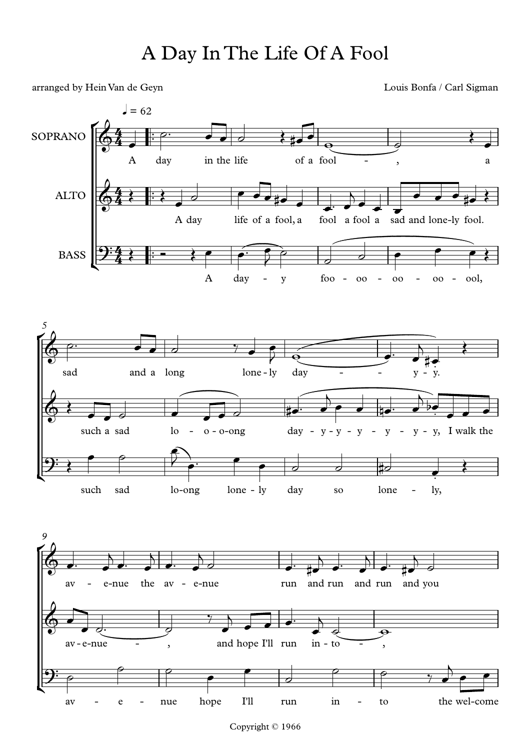arranged by Hein Van de Geyn Louis Bonfa / Carl Sigman



Copyright © 1966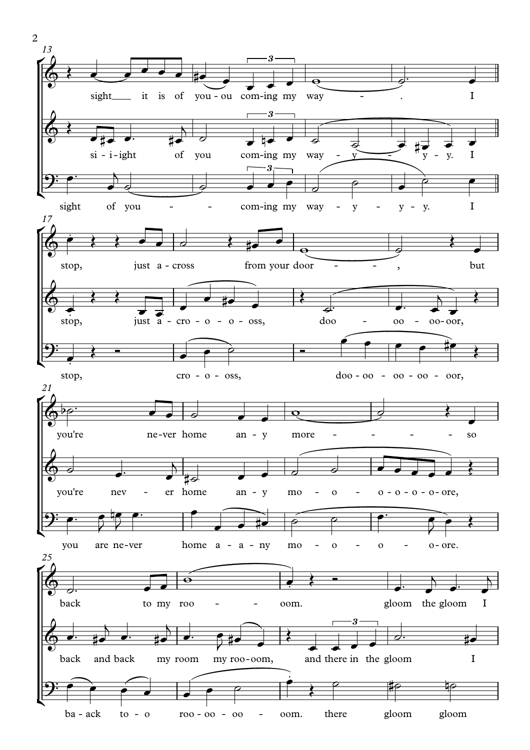